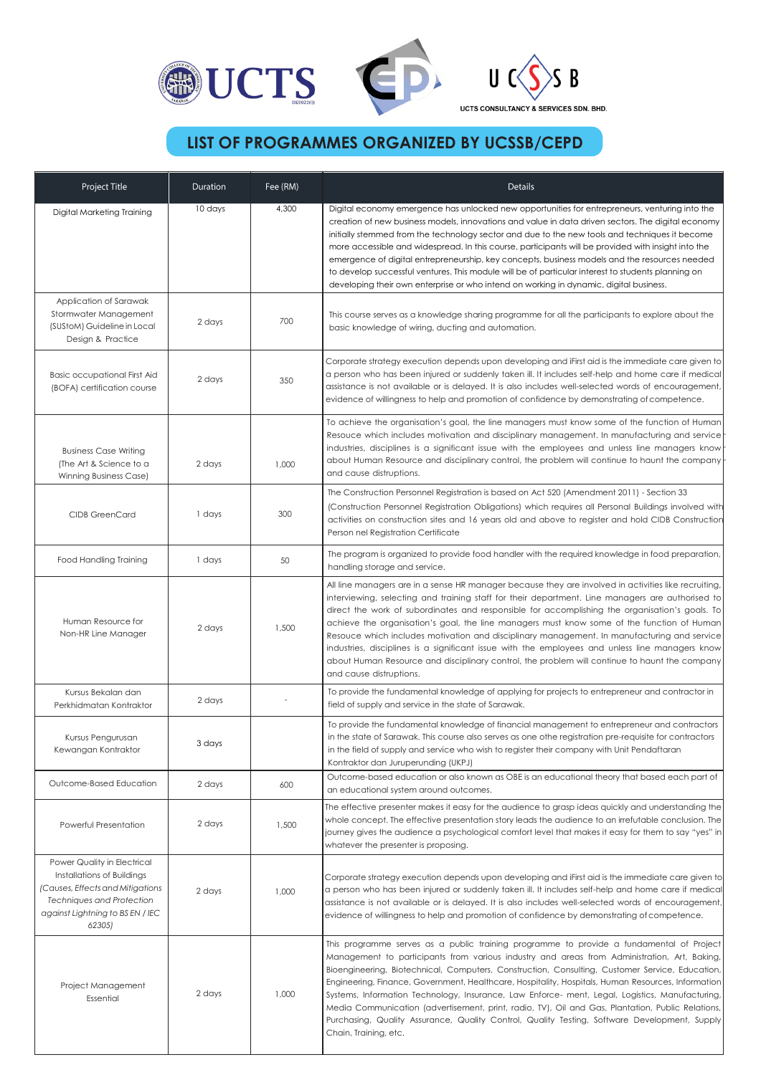

## **LIST OF PROGRAMMES ORGANIZED BY UCSSB/CEPD**

| Project Title                                                                                                                                                                   | Duration | Fee (RM) | Details                                                                                                                                                                                                                                                                                                                                                                                                                                                                                                                                                                                                                                                                                                                                |
|---------------------------------------------------------------------------------------------------------------------------------------------------------------------------------|----------|----------|----------------------------------------------------------------------------------------------------------------------------------------------------------------------------------------------------------------------------------------------------------------------------------------------------------------------------------------------------------------------------------------------------------------------------------------------------------------------------------------------------------------------------------------------------------------------------------------------------------------------------------------------------------------------------------------------------------------------------------------|
| Digital Marketing Training                                                                                                                                                      | 10 days  | 4,300    | Digital economy emergence has unlocked new opportunities for entrepreneurs, venturing into the<br>creation of new business models, innovations and value in data driven sectors. The digital economy<br>initially stemmed from the technology sector and due to the new tools and techniques it become<br>more accessible and widespread. In this course, participants will be provided with insight into the<br>emergence of digital entrepreneurship, key concepts, business models and the resources needed<br>to develop successful ventures. This module will be of particular interest to students planning on<br>developing their own enterprise or who intend on working in dynamic, digital business.                         |
| Application of Sarawak<br>Stormwater Management<br>(SUStoM) Guideline in Local<br>Design & Practice                                                                             | 2 days   | 700      | This course serves as a knowledge sharing programme for all the participants to explore about the<br>basic knowledge of wiring, ducting and automation.                                                                                                                                                                                                                                                                                                                                                                                                                                                                                                                                                                                |
| <b>Basic occupational First Aid</b><br>(BOFA) certification course                                                                                                              | 2 days   | 350      | Corporate strategy execution depends upon developing and iFirst aid is the immediate care given to<br>a person who has been injured or suddenly taken ill. It includes self-help and home care if medical<br>assistance is not available or is delayed. It is also includes well-selected words of encouragement,<br>evidence of willingness to help and promotion of confidence by demonstrating of competence.                                                                                                                                                                                                                                                                                                                       |
| <b>Business Case Writing</b><br>(The Art & Science to a<br>Winning Business Case)                                                                                               | 2 days   | 1,000    | To achieve the organisation's goal, the line managers must know some of the function of Human<br>Resouce which includes motivation and disciplinary management. In manufacturing and service<br>industries, disciplines is a significant issue with the employees and unless line managers know<br>about Human Resource and disciplinary control, the problem will continue to haunt the company<br>and cause distruptions.                                                                                                                                                                                                                                                                                                            |
| <b>CIDB GreenCard</b>                                                                                                                                                           | 1 days   | 300      | The Construction Personnel Registration is based on Act 520 (Amendment 2011) - Section 33<br>(Construction Personnel Registration Obligations) which requires all Personal Buildings involved with<br>activities on construction sites and 16 years old and above to register and hold CIDB Construction<br>Person nel Registration Certificate                                                                                                                                                                                                                                                                                                                                                                                        |
| <b>Food Handling Training</b>                                                                                                                                                   | 1 days   | 50       | The program is organized to provide food handler with the required knowledge in food preparation,<br>handling storage and service.                                                                                                                                                                                                                                                                                                                                                                                                                                                                                                                                                                                                     |
| Human Resource for<br>Non-HR Line Manager                                                                                                                                       | 2 days   | 1,500    | All line managers are in a sense HR manager because they are involved in activities like recruiting,<br>interviewing, selecting and training staff for their department. Line managers are authorised to<br>direct the work of subordinates and responsible for accomplishing the organisation's goals. To<br>achieve the organisation's goal, the line managers must know some of the function of Human<br>Resouce which includes motivation and disciplinary management. In manufacturing and service<br>industries, disciplines is a significant issue with the employees and unless line managers know<br>about Human Resource and disciplinary control, the problem will continue to haunt the company<br>and cause distruptions. |
| Kursus Bekalan dan<br>Perkhidmatan Kontraktor                                                                                                                                   | 2 days   |          | To provide the fundamental knowledge of applying for projects to entrepreneur and contractor in<br>field of supply and service in the state of Sarawak.                                                                                                                                                                                                                                                                                                                                                                                                                                                                                                                                                                                |
| Kursus Pengurusan<br>Kewangan Kontraktor                                                                                                                                        | 3 days   |          | To provide the fundamental knowledge of financial management to entrepreneur and contractors<br>in the state of Sarawak. This course also serves as one othe registration pre-requisite for contractors<br>in the field of supply and service who wish to register their company with Unit Pendaftaran<br>Kontraktor dan Juruperunding (UKPJ)                                                                                                                                                                                                                                                                                                                                                                                          |
| Outcome-Based Education                                                                                                                                                         | 2 days   | 600      | Outcome-based education or also known as OBE is an educational theory that based each part of<br>an educational system around outcomes.                                                                                                                                                                                                                                                                                                                                                                                                                                                                                                                                                                                                |
| Powerful Presentation                                                                                                                                                           | 2 days   | 1,500    | The effective presenter makes it easy for the audience to grasp ideas quickly and understanding the<br>whole concept. The effective presentation story leads the audience to an irrefutable conclusion. The<br>journey gives the audience a psychological comfort level that makes it easy for them to say "yes" in<br>whatever the presenter is proposing.                                                                                                                                                                                                                                                                                                                                                                            |
| Power Quality in Electrical<br>Installations of Buildings<br>(Causes, Effects and Mitigations<br><b>Techniques and Protection</b><br>against Lightning to BS EN / IEC<br>62305) | 2 days   | 1,000    | Corporate strategy execution depends upon developing and iFirst aid is the immediate care given to<br>a person who has been injured or suddenly taken ill. It includes self-help and home care if medical<br>assistance is not available or is delayed. It is also includes well-selected words of encouragement,<br>evidence of willingness to help and promotion of confidence by demonstrating of competence.                                                                                                                                                                                                                                                                                                                       |
| Project Management<br>Essential                                                                                                                                                 | 2 days   | 1,000    | This programme serves as a public training programme to provide a fundamental of Project<br>Management to participants from various industry and areas from Administration, Art, Baking,<br>Bioengineering, Biotechnical, Computers, Construction, Consulting, Customer Service, Education,<br>Engineering, Finance, Government, Healthcare, Hospitality, Hospitals, Human Resources, Information<br>Systems, Information Technology, Insurance, Law Enforce- ment, Legal, Logistics, Manufacturing,<br>Media Communication (advertisement, print, radio, TV), Oil and Gas, Plantation, Public Relations,<br>Purchasing, Quality Assurance, Quality Control, Quality Testing, Software Development, Supply<br>Chain, Training, etc.    |